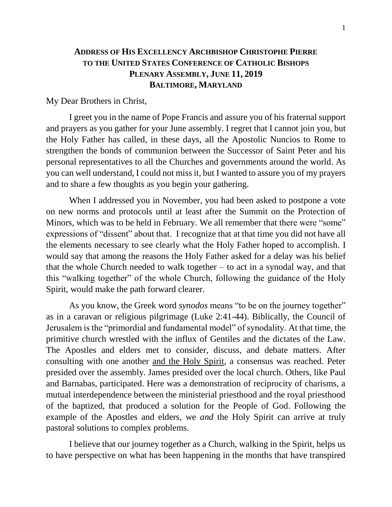## **ADDRESS OF HIS EXCELLENCY ARCHBISHOP CHRISTOPHE PIERRE TO THE UNITED STATES CONFERENCE OF CATHOLIC BISHOPS PLENARY ASSEMBLY, JUNE 11, 2019 BALTIMORE, MARYLAND**

My Dear Brothers in Christ,

I greet you in the name of Pope Francis and assure you of his fraternal support and prayers as you gather for your June assembly. I regret that I cannot join you, but the Holy Father has called, in these days, all the Apostolic Nuncios to Rome to strengthen the bonds of communion between the Successor of Saint Peter and his personal representatives to all the Churches and governments around the world. As you can well understand, I could not miss it, but I wanted to assure you of my prayers and to share a few thoughts as you begin your gathering.

When I addressed you in November, you had been asked to postpone a vote on new norms and protocols until at least after the Summit on the Protection of Minors, which was to be held in February. We all remember that there were "some" expressions of "dissent" about that. I recognize that at that time you did not have all the elements necessary to see clearly what the Holy Father hoped to accomplish. I would say that among the reasons the Holy Father asked for a delay was his belief that the whole Church needed to walk together  $-$  to act in a synodal way, and that this "walking together" of the whole Church, following the guidance of the Holy Spirit, would make the path forward clearer.

As you know, the Greek word *synodos* means "to be on the journey together" as in a caravan or religious pilgrimage (Luke 2:41-44). Biblically, the Council of Jerusalem is the "primordial and fundamental model" of synodality. At that time, the primitive church wrestled with the influx of Gentiles and the dictates of the Law. The Apostles and elders met to consider, discuss, and debate matters. After consulting with one another and the Holy Spirit, a consensus was reached. Peter presided over the assembly. James presided over the local church. Others, like Paul and Barnabas, participated. Here was a demonstration of reciprocity of charisms, a mutual interdependence between the ministerial priesthood and the royal priesthood of the baptized, that produced a solution for the People of God. Following the example of the Apostles and elders, we *and* the Holy Spirit can arrive at truly pastoral solutions to complex problems.

I believe that our journey together as a Church, walking in the Spirit, helps us to have perspective on what has been happening in the months that have transpired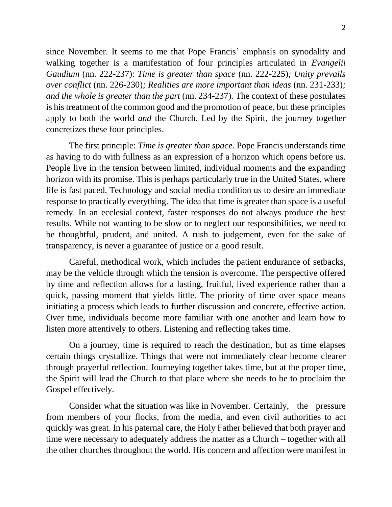since November. It seems to me that Pope Francis' emphasis on synodality and walking together is a manifestation of four principles articulated in *Evangelii Gaudium* (nn. 222-237): *Time is greater than space* (nn. 222-225)*; Unity prevails over conflict* (nn. 226-230)*; Realities are more important than ideas* (nn. 231-233)*; and the whole is greater than the part* (nn. 234-237). The context of these postulates is his treatment of the common good and the promotion of peace, but these principles apply to both the world *and* the Church. Led by the Spirit, the journey together concretizes these four principles.

The first principle: *Time is greater than space.* Pope Francis understands time as having to do with fullness as an expression of a horizon which opens before us. People live in the tension between limited, individual moments and the expanding horizon with its promise. This is perhaps particularly true in the United States, where life is fast paced. Technology and social media condition us to desire an immediate response to practically everything. The idea that time is greater than space is a useful remedy. In an ecclesial context, faster responses do not always produce the best results. While not wanting to be slow or to neglect our responsibilities, we need to be thoughtful, prudent, and united. A rush to judgement, even for the sake of transparency, is never a guarantee of justice or a good result.

Careful, methodical work, which includes the patient endurance of setbacks, may be the vehicle through which the tension is overcome. The perspective offered by time and reflection allows for a lasting, fruitful, lived experience rather than a quick, passing moment that yields little. The priority of time over space means initiating a process which leads to further discussion and concrete, effective action. Over time, individuals become more familiar with one another and learn how to listen more attentively to others. Listening and reflecting takes time.

On a journey, time is required to reach the destination, but as time elapses certain things crystallize. Things that were not immediately clear become clearer through prayerful reflection. Journeying together takes time, but at the proper time, the Spirit will lead the Church to that place where she needs to be to proclaim the Gospel effectively.

Consider what the situation was like in November. Certainly, the pressure from members of your flocks, from the media, and even civil authorities to act quickly was great. In his paternal care, the Holy Father believed that both prayer and time were necessary to adequately address the matter as a Church – together with all the other churches throughout the world. His concern and affection were manifest in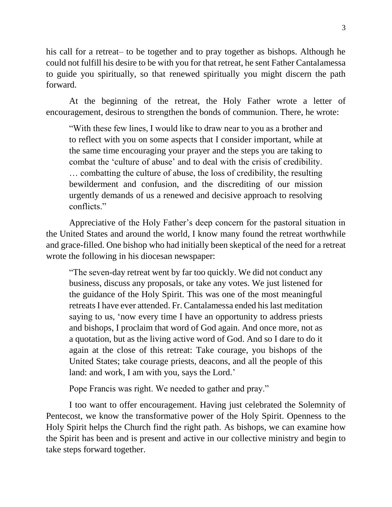his call for a retreat– to be together and to pray together as bishops. Although he could not fulfill his desire to be with you for that retreat, he sent Father Cantalamessa to guide you spiritually, so that renewed spiritually you might discern the path forward.

At the beginning of the retreat, the Holy Father wrote a letter of encouragement, desirous to strengthen the bonds of communion. There, he wrote:

"With these few lines, I would like to draw near to you as a brother and to reflect with you on some aspects that I consider important, while at the same time encouraging your prayer and the steps you are taking to combat the 'culture of abuse' and to deal with the crisis of credibility. … combatting the culture of abuse, the loss of credibility, the resulting bewilderment and confusion, and the discrediting of our mission urgently demands of us a renewed and decisive approach to resolving conflicts."

Appreciative of the Holy Father's deep concern for the pastoral situation in the United States and around the world, I know many found the retreat worthwhile and grace-filled. One bishop who had initially been skeptical of the need for a retreat wrote the following in his diocesan newspaper:

"The seven-day retreat went by far too quickly. We did not conduct any business, discuss any proposals, or take any votes. We just listened for the guidance of the Holy Spirit. This was one of the most meaningful retreats I have ever attended. Fr. Cantalamessa ended his last meditation saying to us, 'now every time I have an opportunity to address priests and bishops, I proclaim that word of God again. And once more, not as a quotation, but as the living active word of God. And so I dare to do it again at the close of this retreat: Take courage, you bishops of the United States; take courage priests, deacons, and all the people of this land: and work, I am with you, says the Lord.'

Pope Francis was right. We needed to gather and pray."

I too want to offer encouragement. Having just celebrated the Solemnity of Pentecost, we know the transformative power of the Holy Spirit. Openness to the Holy Spirit helps the Church find the right path. As bishops, we can examine how the Spirit has been and is present and active in our collective ministry and begin to take steps forward together.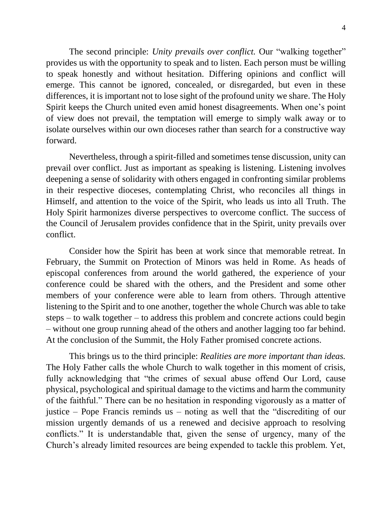The second principle: *Unity prevails over conflict*. Our "walking together" provides us with the opportunity to speak and to listen. Each person must be willing to speak honestly and without hesitation. Differing opinions and conflict will emerge. This cannot be ignored, concealed, or disregarded, but even in these differences, it is important not to lose sight of the profound unity we share. The Holy Spirit keeps the Church united even amid honest disagreements. When one's point of view does not prevail, the temptation will emerge to simply walk away or to isolate ourselves within our own dioceses rather than search for a constructive way forward.

Nevertheless, through a spirit-filled and sometimes tense discussion, unity can prevail over conflict. Just as important as speaking is listening. Listening involves deepening a sense of solidarity with others engaged in confronting similar problems in their respective dioceses, contemplating Christ, who reconciles all things in Himself, and attention to the voice of the Spirit, who leads us into all Truth. The Holy Spirit harmonizes diverse perspectives to overcome conflict. The success of the Council of Jerusalem provides confidence that in the Spirit, unity prevails over conflict.

Consider how the Spirit has been at work since that memorable retreat. In February, the Summit on Protection of Minors was held in Rome. As heads of episcopal conferences from around the world gathered, the experience of your conference could be shared with the others, and the President and some other members of your conference were able to learn from others. Through attentive listening to the Spirit and to one another, together the whole Church was able to take steps – to walk together – to address this problem and concrete actions could begin – without one group running ahead of the others and another lagging too far behind. At the conclusion of the Summit, the Holy Father promised concrete actions.

This brings us to the third principle: *Realities are more important than ideas.*  The Holy Father calls the whole Church to walk together in this moment of crisis, fully acknowledging that "the crimes of sexual abuse offend Our Lord, cause physical, psychological and spiritual damage to the victims and harm the community of the faithful." There can be no hesitation in responding vigorously as a matter of justice – Pope Francis reminds us – noting as well that the "discrediting of our mission urgently demands of us a renewed and decisive approach to resolving conflicts." It is understandable that, given the sense of urgency, many of the Church's already limited resources are being expended to tackle this problem. Yet,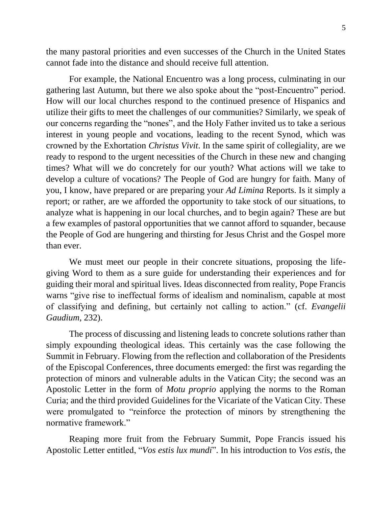the many pastoral priorities and even successes of the Church in the United States cannot fade into the distance and should receive full attention.

For example, the National Encuentro was a long process, culminating in our gathering last Autumn, but there we also spoke about the "post-Encuentro" period. How will our local churches respond to the continued presence of Hispanics and utilize their gifts to meet the challenges of our communities? Similarly, we speak of our concerns regarding the "nones", and the Holy Father invited us to take a serious interest in young people and vocations, leading to the recent Synod, which was crowned by the Exhortation *Christus Vivit*. In the same spirit of collegiality, are we ready to respond to the urgent necessities of the Church in these new and changing times? What will we do concretely for our youth? What actions will we take to develop a culture of vocations? The People of God are hungry for faith. Many of you, I know, have prepared or are preparing your *Ad Limina* Reports. Is it simply a report; or rather, are we afforded the opportunity to take stock of our situations, to analyze what is happening in our local churches, and to begin again? These are but a few examples of pastoral opportunities that we cannot afford to squander, because the People of God are hungering and thirsting for Jesus Christ and the Gospel more than ever.

We must meet our people in their concrete situations, proposing the lifegiving Word to them as a sure guide for understanding their experiences and for guiding their moral and spiritual lives. Ideas disconnected from reality, Pope Francis warns "give rise to ineffectual forms of idealism and nominalism, capable at most of classifying and defining, but certainly not calling to action." (cf. *Evangelii Gaudium*, 232).

The process of discussing and listening leads to concrete solutions rather than simply expounding theological ideas. This certainly was the case following the Summit in February. Flowing from the reflection and collaboration of the Presidents of the Episcopal Conferences, three documents emerged: the first was regarding the protection of minors and vulnerable adults in the Vatican City; the second was an Apostolic Letter in the form of *Motu proprio* applying the norms to the Roman Curia; and the third provided Guidelines for the Vicariate of the Vatican City. These were promulgated to "reinforce the protection of minors by strengthening the normative framework."

Reaping more fruit from the February Summit, Pope Francis issued his Apostolic Letter entitled, "*Vos estis lux mundi*". In his introduction to *Vos estis*, the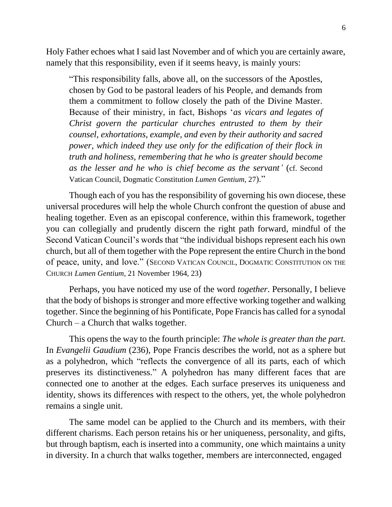Holy Father echoes what I said last November and of which you are certainly aware, namely that this responsibility, even if it seems heavy, is mainly yours:

"This responsibility falls, above all, on the successors of the Apostles, chosen by God to be pastoral leaders of his People, and demands from them a commitment to follow closely the path of the Divine Master. Because of their ministry, in fact, Bishops '*as vicars and legates of Christ govern the particular churches entrusted to them by their counsel, exhortations, example, and even by their authority and sacred power, which indeed they use only for the edification of their flock in truth and holiness, remembering that he who is greater should become as the lesser and he who is chief become as the servant'* (cf. Second Vatican Council, Dogmatic Constitution *Lumen Gentium*, 27)."

Though each of you has the responsibility of governing his own diocese, these universal procedures will help the whole Church confront the question of abuse and healing together. Even as an episcopal conference, within this framework, together you can collegially and prudently discern the right path forward, mindful of the Second Vatican Council's words that "the individual bishops represent each his own church, but all of them together with the Pope represent the entire Church in the bond of peace, unity, and love." (SECOND VATICAN COUNCIL, DOGMATIC CONSTITUTION ON THE CHURCH *Lumen Gentium*, 21 November 1964, 23)

Perhaps, you have noticed my use of the word *together*. Personally, I believe that the body of bishops is stronger and more effective working together and walking together. Since the beginning of his Pontificate, Pope Francis has called for a synodal Church – a Church that walks together.

This opens the way to the fourth principle: *The whole is greater than the part.*  In *Evangelii Gaudium* (236), Pope Francis describes the world, not as a sphere but as a polyhedron, which "reflects the convergence of all its parts, each of which preserves its distinctiveness." A polyhedron has many different faces that are connected one to another at the edges. Each surface preserves its uniqueness and identity, shows its differences with respect to the others, yet, the whole polyhedron remains a single unit.

The same model can be applied to the Church and its members, with their different charisms. Each person retains his or her uniqueness, personality, and gifts, but through baptism, each is inserted into a community, one which maintains a unity in diversity. In a church that walks together, members are interconnected, engaged